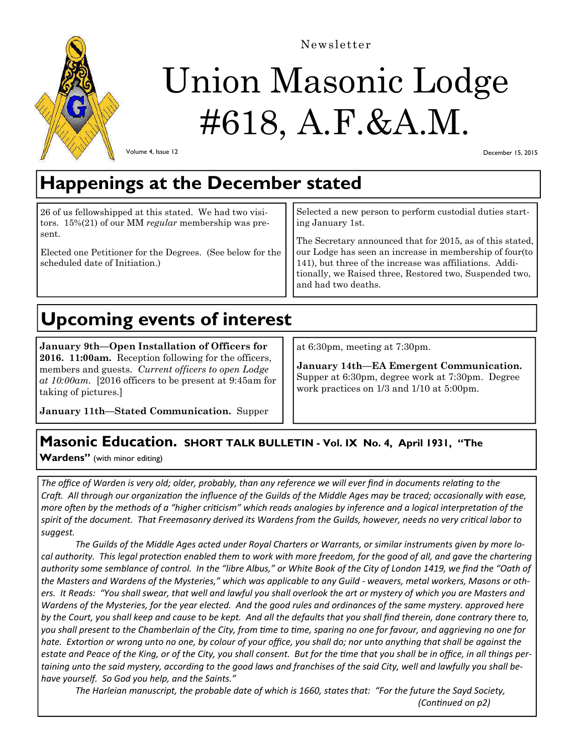

Newsletter

# Union Masonic Lodge #618, A.F.&A.M.

Volume 4, Issue 12

December 15, 2015

## **Happenings at the December stated**

| 26 of us fellowshipped at this stated. We had two visi-                                               | Selected a new person to perform custodial duties start-                                                                                                                                                                                                      |  |
|-------------------------------------------------------------------------------------------------------|---------------------------------------------------------------------------------------------------------------------------------------------------------------------------------------------------------------------------------------------------------------|--|
| tors. 15%(21) of our MM regular membership was pre-                                                   | ing January 1st.                                                                                                                                                                                                                                              |  |
| sent.<br>Elected one Petitioner for the Degrees. (See below for the<br>scheduled date of Initiation.) | The Secretary announced that for 2015, as of this stated,<br>our Lodge has seen an increase in membership of four (to<br>141), but three of the increase was affiliations. Additionally, we Raised three, Restored two, Suspended two,<br>and had two deaths. |  |

## **Upcoming events of interest**

**January 9th—Open Installation of Officers for 2016. 11:00am.** Reception following for the officers, members and guests. *Current officers to open Lodge at 10:00am.* [2016 officers to be present at 9:45am for taking of pictures.]

at 6:30pm, meeting at 7:30pm.

**January 14th—EA Emergent Communication.**  Supper at 6:30pm, degree work at 7:30pm. Degree work practices on 1/3 and 1/10 at 5:00pm.

**January 11th—Stated Communication.** Supper

### **Masonic Education. SHORT TALK BULLETIN - Vol. IX No. 4, April 1931, "The**

Wardens" (with minor editing)

The office of Warden is very old; older, probably, than any reference we will ever find in documents relating to the *Craft. All through our organization the influence of the Guilds of the Middle Ages may be traced; occasionally with ease, more often by the methods of a "higher criticism" which reads analogies by inference and a logical interpretation of the* spirit of the document. That Freemasonry derived its Wardens from the Guilds, however, needs no very critical labor to *suggest.* 

*The Guilds of the Middle Ages acted under Royal Charters or Warrants, or similar instruments given by more lo‐* cal authority. This legal protection enabled them to work with more freedom, for the good of all, and gave the chartering *authority some semblance of control. In the "libre Albus," or White Book of the City of London 1419, we find the "Oath of the Masters and Wardens of the Mysteries," which was applicable to any Guild ‐ weavers, metal workers, Masons or oth‐ ers. It Reads: "You shall swear, that well and lawful you shall overlook the art or mystery of which you are Masters and Wardens of the Mysteries, for the year elected. And the good rules and ordinances of the same mystery. approved here by the Court, you shall keep and cause to be kept. And all the defaults that you shall find therein, done contrary there to, you shall present to the Chamberlain of the City, from Ɵme to Ɵme, sparing no one for favour, and aggrieving no one for*  hate. Extortion or wrong unto no one, by colour of your office, you shall do; nor unto anything that shall be against the *estate and Peace of the King, or of the City, you shall consent. But for the Ɵme that you shall be in office, in all things per‐ taining unto the said mystery, according to the good laws and franchises of the said City, well and lawfully you shall be‐ have yourself. So God you help, and the Saints."* 

*The Harleian manuscript, the probable date of which is 1660, states that: "For the future the Sayd Society, (ConƟnued on p2)*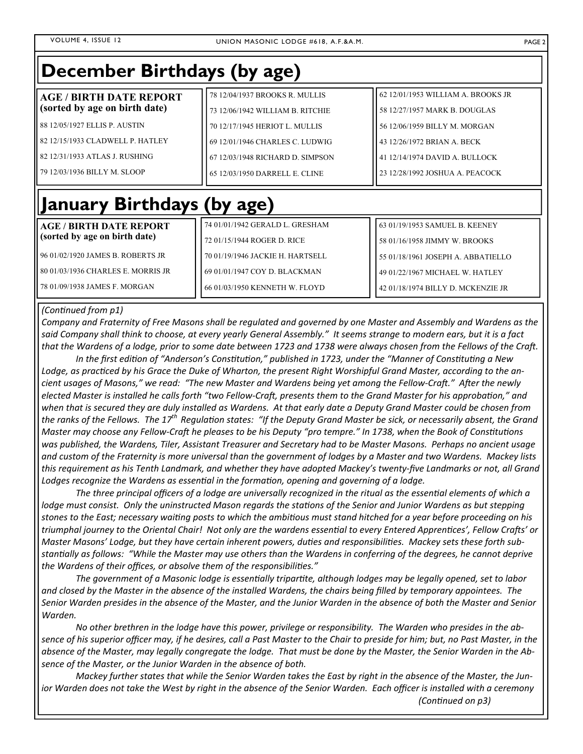| December Birthdays (by age)                                     |                                                                    |                                                                     |  |
|-----------------------------------------------------------------|--------------------------------------------------------------------|---------------------------------------------------------------------|--|
| <b>AGE / BIRTH DATE REPORT</b><br>(sorted by age on birth date) | 78 12/04/1937 BROOKS R. MULLIS<br>73 12/06/1942 WILLIAM B. RITCHIE | 62 12/01/1953 WILLIAM A. BROOKS JR<br>58 12/27/1957 MARK B. DOUGLAS |  |
| 88 12/05/1927 ELLIS P. AUSTIN                                   | 70 12/17/1945 HERIOT L. MULLIS                                     | 56 12/06/1959 BILLY M. MORGAN                                       |  |
| 82 12/15/1933 CLADWELL P. HATLEY                                | 69 12/01/1946 CHARLES C. LUDWIG                                    | 43 12/26/1972 BRIAN A. BECK                                         |  |
| 82 12/31/1933 ATLAS J. RUSHING                                  | 67 12/03/1948 RICHARD D. SIMPSON                                   | 41 12/14/1974 DAVID A. BULLOCK                                      |  |
| 79 12/03/1936 BILLY M. SLOOP                                    | 65 12/03/1950 DARRELL E. CLINE                                     | 23 12/28/1992 JOSHUA A. PEACOCK                                     |  |

## **January Birthdays (by age)**

| AGE / BIRTH DATE REPORT              | 74 01/01/1942 GERALD L. GRESHAM  | 163 01/19/1953 SAMUEL B. KEENEY     |
|--------------------------------------|----------------------------------|-------------------------------------|
| (sorted by age on birth date)        | 72 01/15/1944 ROGER D. RICE      | 158 01/16/1958 JIMMY W. BROOKS      |
| 96 01/02/1920 JAMES B. ROBERTS JR    | 70 01/19/1946 JACKIE H. HARTSELL | 55 01/18/1961 JOSEPH A. ABBATIELLO  |
| l 80 01/03/1936 CHARLES E. MORRIS JR | 69 01/01/1947 COY D. BLACKMAN    | 49 01/22/1967 MICHAEL W. HATLEY     |
| 178 01/09/1938 JAMES F. MORGAN       | 166 01/03/1950 KENNETH W. FLOYD  | 142 01/18/1974 BILLY D. MCKENZIE JR |

#### *(ConƟnued from p1)*

*Company and Fraternity of Free Masons shall be regulated and governed by one Master and Assembly and Wardens as the said Company shall think to choose, at every yearly General Assembly." It seems strange to modern ears, but it is a fact*  that the Wardens of a lodge, prior to some date between 1723 and 1738 were always chosen from the Fellows of the Craft.

In the first edition of "Anderson's Constitution," published in 1723, under the "Manner of Constituting a New Lodge, as practiced by his Grace the Duke of Wharton, the present Right Worshipful Grand Master, according to the ancient usages of Masons," we read: "The new Master and Wardens being yet among the Fellow-Craft." After the newly *elected Master is installed he calls forth "two Fellow-Craft, presents them to the Grand Master for his approbation," and when that is secured they are duly installed as Wardens. At that early date a Deputy Grand Master could be chosen from the ranks of the Fellows. The 17th RegulaƟon states: "If the Deputy Grand Master be sick, or necessarily absent, the Grand Master may choose any Fellow-Craft he pleases to be his Deputy "pro tempre." In 1738, when the Book of Constitutions was published, the Wardens, Tiler, Assistant Treasurer and Secretary had to be Master Masons. Perhaps no ancient usage and custom of the Fraternity is more universal than the government of lodges by a Master and two Wardens. Mackey lists this requirement as his Tenth Landmark, and whether they have adopted Mackey's twenty‐five Landmarks or not, all Grand*  Lodges recognize the Wardens as essential in the formation, opening and governing of a lodge.

The three principal officers of a lodge are universally recognized in the ritual as the essential elements of which a *lodge must consist. Only the uninstructed Mason regards the stations of the Senior and Junior Wardens as but stepping* stones to the East; necessary waiting posts to which the ambitious must stand hitched for a year before proceeding on his *triumphal journey to the Oriental Chair! Not only are the wardens essential to every Entered Apprentices', Fellow Crafts' or Master Masons' Lodge, but they have certain inherent powers, duties and responsibilities. Mackey sets these forth substanƟally as follows: "While the Master may use others than the Wardens in conferring of the degrees, he cannot deprive*  the Wardens of their offices, or absolve them of the responsibilities."

*The government of a Masonic lodge is essenƟally triparƟte, although lodges may be legally opened, set to labor and closed by the Master in the absence of the installed Wardens, the chairs being filled by temporary appointees. The Senior Warden presides in the absence of the Master, and the Junior Warden in the absence of both the Master and Senior Warden.* 

*No other brethren in the lodge have this power, privilege or responsibility. The Warden who presides in the ab‐ sence of his superior officer may, if he desires, call a Past Master to the Chair to preside for him; but, no Past Master, in the absence of the Master, may legally congregate the lodge. That must be done by the Master, the Senior Warden in the Ab‐ sence of the Master, or the Junior Warden in the absence of both.* 

*Mackey further states that while the Senior Warden takes the East by right in the absence of the Master, the Jun‐ ior Warden does not take the West by right in the absence of the Senior Warden. Each officer is installed with a ceremony (ConƟnued on p3)*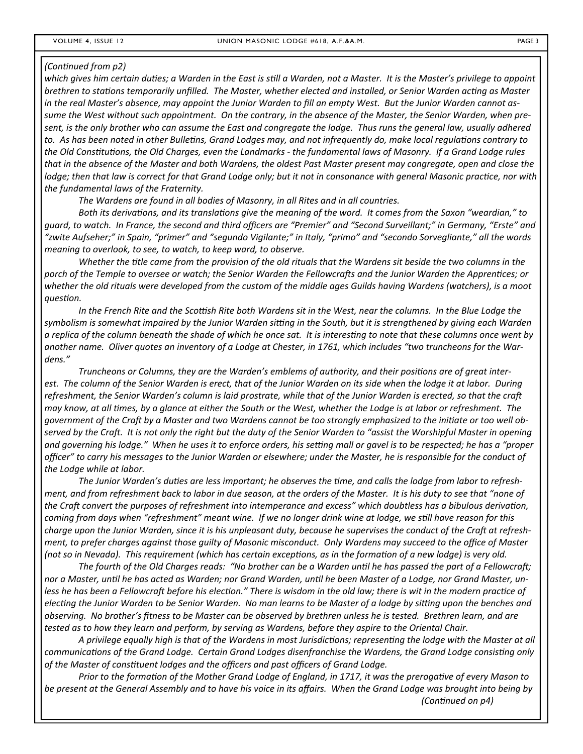#### *(ConƟnued from p2)*

which gives him certain duties; a Warden in the East is still a Warden, not a Master. It is the Master's privilege to appoint brethren to stations temporarily unfilled. The Master, whether elected and installed, or Senior Warden acting as Master *in the real Master's absence, may appoint the Junior Warden to fill an empty West. But the Junior Warden cannot as‐ sume the West without such appointment. On the contrary, in the absence of the Master, the Senior Warden, when pre‐ sent, is the only brother who can assume the East and congregate the lodge. Thus runs the general law, usually adhered*  to. As has been noted in other Bulletins, Grand Lodges may, and not infrequently do, make local regulations contrary to the Old Constitutions, the Old Charges, even the Landmarks - the fundamental laws of Masonry. If a Grand Lodge rules *that in the absence of the Master and both Wardens, the oldest Past Master present may congregate, open and close the lodge; then that law is correct for that Grand Lodge only; but it not in consonance with general Masonic practice, nor with the fundamental laws of the Fraternity.* 

*The Wardens are found in all bodies of Masonry, in all Rites and in all countries.* 

*Both its derivaƟons, and its translaƟons give the meaning of the word. It comes from the Saxon "weardian," to guard, to watch. In France, the second and third officers are "Premier" and "Second Surveillant;" in Germany, "Erste" and "zwite Aufseher;" in Spain, "primer" and "segundo Vigilante;" in Italy, "primo" and "secondo Sorvegliante," all the words meaning to overlook, to see, to watch, to keep ward, to observe.* 

*Whether the Ɵtle came from the provision of the old rituals that the Wardens sit beside the two columns in the*  porch of the Temple to oversee or watch; the Senior Warden the Fellowcrafts and the Junior Warden the Apprentices; or *whether the old rituals were developed from the custom of the middle ages Guilds having Wardens (watchers), is a moot quesƟon.* 

In the French Rite and the Scottish Rite both Wardens sit in the West, near the columns. In the Blue Lodge the symbolism is somewhat impaired by the Junior Warden sitting in the South, but it is strengthened by giving each Warden a replica of the column beneath the shade of which he once sat. It is interesting to note that these columns once went by *another name. Oliver quotes an inventory of a Lodge at Chester, in 1761, which includes "two truncheons for the War‐ dens."* 

*Truncheons or Columns, they are the Warden's emblems of authority, and their positions are of great interest. The column of the Senior Warden is erect, that of the Junior Warden on its side when the lodge it at labor. During*  refreshment, the Senior Warden's column is laid prostrate, while that of the Junior Warden is erected, so that the craft *may know, at all Ɵmes, by a glance at either the South or the West, whether the Lodge is at labor or refreshment. The*  government of the Craft by a Master and two Wardens cannot be too strongly emphasized to the initiate or too well observed by the Craft. It is not only the right but the duty of the Senior Warden to "assist the Worshipful Master in opening and governing his lodge." When he uses it to enforce orders, his setting mall or gavel is to be respected; he has a "proper *officer" to carry his messages to the Junior Warden or elsewhere; under the Master, he is responsible for the conduct of the Lodge while at labor.* 

*The Junior Warden's duƟes are less important; he observes the Ɵme, and calls the lodge from labor to refresh‐ ment, and from refreshment back to labor in due season, at the orders of the Master. It is his duty to see that "none of*  the Craft convert the purposes of refreshment into intemperance and excess" which doubtless has a bibulous derivation, *coming from days when "refreshment" meant wine. If we no longer drink wine at lodge, we sƟll have reason for this charge upon the Junior Warden, since it is his unpleasant duty, because he supervises the conduct of the Craft at refreshment, to prefer charges against those guilty of Masonic misconduct. Only Wardens may succeed to the office of Master (not so in Nevada). This requirement (which has certain exceptions, as in the formation of a new lodge) is very old.* 

The fourth of the Old Charges reads: "No brother can be a Warden until he has passed the part of a Fellowcraft; *nor a Master, unƟl he has acted as Warden; nor Grand Warden, unƟl he been Master of a Lodge, nor Grand Master, un‐* less he has been a Fellowcraft before his election." There is wisdom in the old law; there is wit in the modern practice of *electing the Junior Warden to be Senior Warden. No man learns to be Master of a lodge by sitting upon the benches and observing. No brother's fitness to be Master can be observed by brethren unless he is tested. Brethren learn, and are tested as to how they learn and perform, by serving as Wardens, before they aspire to the Oriental Chair.* 

A privilege equally high is that of the Wardens in most Jurisdictions; representing the lodge with the Master at all communications of the Grand Lodge. Certain Grand Lodges disenfranchise the Wardens, the Grand Lodge consisting only of the Master of constituent lodges and the officers and past officers of Grand Lodge.

Prior to the formation of the Mother Grand Lodge of England, in 1717, it was the prerogative of every Mason to *be present at the General Assembly and to have his voice in its affairs. When the Grand Lodge was brought into being by (ConƟnued on p4)*